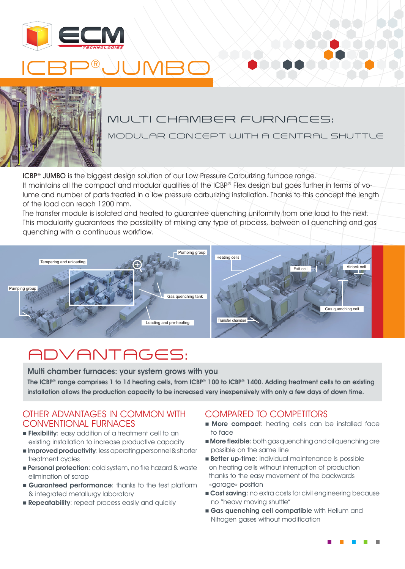





### MULTI CHAMBER FURNACES:

MODULAR CONCEPT WITH A CENTRAL SHUTTLE

ICBP® JUMBO is the biggest design solution of our Low Pressure Carburizing furnace range. It maintains all the compact and modular qualities of the ICBP® Flex design but goes further in terms of volume and number of parts treated in a low pressure carburizing installation. Thanks to this concept the length of the load can reach 1200 mm.

The transfer module is isolated and heated to guarantee quenching uniformity from one load to the next. This modularity guarantees the possibility of mixing any type of process, between oil quenching and gas quenching with a continuous workflow.



# ADVANTAGES:

Multi chamber furnaces: your system grows with you The ICBP® range comprises 1 to 14 heating cells, from ICBP® 100 to ICBP® 1400. Adding treatment cells to an existing installation allows the production capacity to be increased very inexpensively with only a few days of down time.

#### OTHER ADVANTAGES IN COMMON WITH CONVENTIONAL FURNACES

- **Flexibility**: easy addition of a treatment cell to an existing installation to increase productive capacity
- **Improved productivity**: less operating personnel & shorter treatment cycles
- **Personal protection:** cold system, no fire hazard & waste elimination of scrap
- **Guaranteed performance:** thanks to the test platform & integrated metallurgy laboratory
- **Repeatability:** repeat process easily and quickly

#### COMPARED TO COMPETITORS

- **n More compact:** heating cells can be installed face to face
- **More flexible**: both gas quenching and oil quenching are possible on the same line
- **Better up-time:** individual maintenance is possible on heating cells without interruption of production thanks to the easy movement of the backwards «garage» position
- **Cost saving:** no extra costs for civil engineering because no "heavy moving shuttle"
- **Gas quenching cell compatible** with Helium and Nitrogen gases without modification